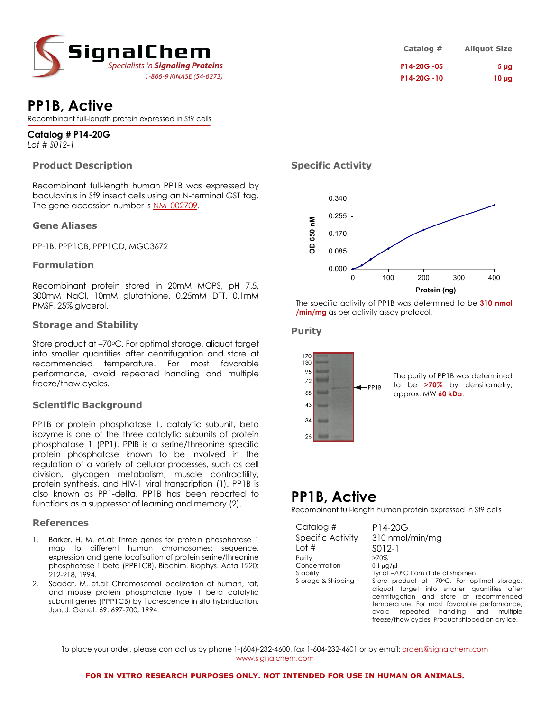

# **PP1B, Active**

Recombinant full-length protein expressed in Sf9 cells

# **Catalog # P14-20G**

*Lot # S012-1*

#### **Product Description**

Recombinant full-length human PP1B was expressed by baculovirus in Sf9 insect cells using an N-terminal GST tag. The gene accession number is NM\_002709.

#### **Gene Aliases**

PP-1B, PPP1CB, PPP1CD, MGC3672

#### **Formulation**

Recombinant protein stored in 20mM MOPS, pH 7.5, 300mM NaCl, 10mM glutathione, 0.25mM DTT, 0.1mM PMSF, 25% glycerol.

#### **Storage and Stability**

Store product at -70°C. For optimal storage, aliquot target into smaller quantities after centrifugation and store at recommended temperature. For most favorable performance, avoid repeated handling and multiple freeze/thaw cycles.

#### **Scientific Background**

PP1B or protein phosphatase 1, catalytic subunit, beta isozyme is one of the three catalytic subunits of protein phosphatase 1 (PP1). PPIB is a serine/threonine specific protein phosphatase known to be involved in the regulation of a variety of cellular processes, such as cell division, glycogen metabolism, muscle contractility, protein synthesis, and HIV-1 viral transcription (1). PP1B is also known as PP1-delta. PP1B has been reported to functions as a suppressor of learning and memory (2).

#### **References**

- 1. Barker, H. M. et.al: Three genes for protein phosphatase 1 map to different human chromosomes: sequence, expression and gene localisation of protein serine/threonine phosphatase 1 beta (PPP1CB). Biochim. Biophys. Acta 1220: 212-218, 1994.
- Saadat, M. et.al: Chromosomal localization of human, rat, and mouse protein phosphatase type 1 beta catalytic subunit genes (PPP1CB) by fluorescence in situ hybridization. Jpn. J. Genet. 69: 697-700, 1994.

**Catalog # Aliquot Size P14-20G -05 5 µg P14-20G -10 10 µg**

## **Specific Activity**



The specific activity of PP1B was determined to be **310 nmol /min/mg** as per activity assay protocol.

#### **Purity**



The purity of PP1B was determined to be **>70%** by densitometry, approx. MW **60 kDa**.

# **PP1B, Active**

Recombinant full-length human protein expressed in Sf9 cells

| Catalog #                                        | P14-20G                                                                                                                                                                                                                                                                                           |  |
|--------------------------------------------------|---------------------------------------------------------------------------------------------------------------------------------------------------------------------------------------------------------------------------------------------------------------------------------------------------|--|
| Specific Activity                                | 310 nmol/min/mg                                                                                                                                                                                                                                                                                   |  |
| Lot #                                            | SO <sub>12</sub> -1                                                                                                                                                                                                                                                                               |  |
| Purity                                           | >70%                                                                                                                                                                                                                                                                                              |  |
| Concentration<br>Stability<br>Storage & Shipping | $0.1 \mu$ g/ $\mu$<br>1yr at -70°C from date of shipment<br>Store product at -70°C. For optimal storage,<br>aliquot target into smaller quantities after<br>centrifugation and store at recommended<br>temperature. For most favorable performance,<br>avoid repeated handlina<br>and<br>multiple |  |

freeze/thaw cycles. Product shipped on dry ice.

To place your order, please contact us by phone 1-(604)-232-4600, fax 1-604-232-4601 or by email: orders@signalchem.com www.signalchem.com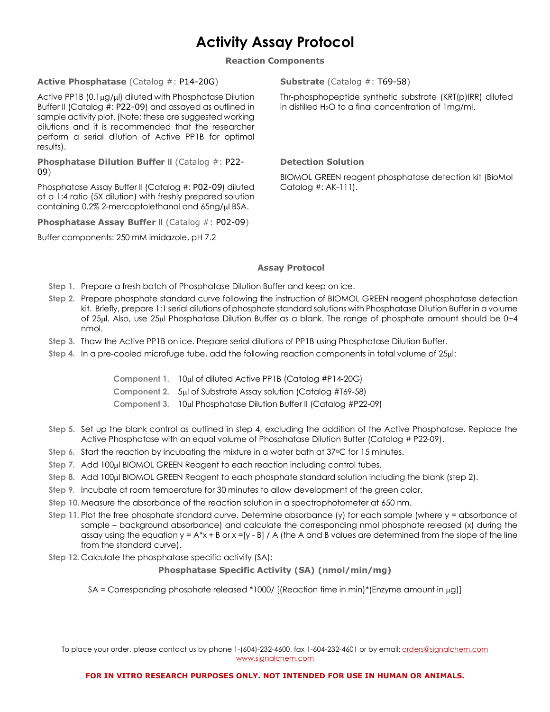# **Activity Assay Protocol**

**Reaction Components**

#### **Active Phosphatase** (Catalog #: P14-20G)

Active PP1B  $(0.1\mu g/\mu l)$  diluted with Phosphatase Dilution Buffer II (Catalog #: P22-09) and assayed as outlined in sample activity plot. (Note: these are suggested working dilutions and it is recommended that the researcher perform a serial dilution of Active PP1B for optimal results).

**Phosphatase Dilution Buffer II** (Catalog #: P22- 09)

Phosphatase Assay Buffer II (Catalog #: P02-09) diluted at a 1:4 ratio (5X dilution) with freshly prepared solution containing 0.2% 2-mercaptolethanol and 65ng/µl BSA.

**Phosphatase Assay Buffer II** (Catalog #: P02-09)

Buffer components: 250 mM Imidazole, pH 7.2

**Substrate** (Catalog #: T69-58)

Thr-phosphopeptide synthetic substrate (KRT(p)IRR) diluted in distilled H2O to a final concentration of 1mg/ml.

#### **Detection Solution**

BIOMOL GREEN reagent phosphatase detection kit (BioMol Catalog #: AK-111).

## **Assay Protocol**

- **Step 1.** Prepare a fresh batch of Phosphatase Dilution Buffer and keep on ice.
- **Step 2.** Prepare phosphate standard curve following the instruction of BIOMOL GREEN reagent phosphatase detection kit. Briefly, prepare 1:1 serial dilutions of phosphate standard solutions with Phosphatase Dilution Buffer in a volume of 25µl. Also, use 25µl Phosphatase Dilution Buffer as a blank. The range of phosphate amount should be 0~4 nmol.
- **Step 3.** Thaw the Active PP1B on ice. Prepare serial dilutions of PP1B using Phosphatase Dilution Buffer.
- **Step 4.** In a pre-cooled microfuge tube, add the following reaction components in total volume of 25µl:

**Component 1.** 10µl of diluted Active PP1B (Catalog #P14-20G)

**Component 2.** 5µl of Substrate Assay solution (Catalog #T69-58)

**Component 3.** 10µl Phosphatase Dilution Buffer II (Catalog #P22-09)

- **Step 5.** Set up the blank control as outlined in step 4, excluding the addition of the Active Phosphatase. Replace the Active Phosphatase with an equal volume of Phosphatase Dilution Buffer (Catalog # P22-09).
- Step 6. Start the reaction by incubating the mixture in a water bath at 37<sup>o</sup>C for 15 minutes.
- **Step 7.** Add 100µl BIOMOL GREEN Reagent to each reaction including control tubes.
- **Step 8.** Add 100µl BIOMOL GREEN Reagent to each phosphate standard solution including the blank (step 2).
- **Step 9.** Incubate at room temperature for 30 minutes to allow development of the green color.
- **Step 10.** Measure the absorbance of the reaction solution in a spectrophotometer at 650 nm.
- **Step 11.** Plot the free phosphate standard curve. Determine absorbance (y) for each sample (where y = absorbance of sample – background absorbance) and calculate the corresponding nmol phosphate released (x) during the assay using the equation  $y = A^*x + B$  or  $x = [y - B] / A$  (the A and B values are determined from the slope of the line from the standard curve).
- **Step 12.** Calculate the phosphatase specific activity (SA):

## **Phosphatase Specific Activity (SA) (nmol/min/mg)**

SA = Corresponding phosphate released \*1000/ [(Reaction time in min)\*(Enzyme amount in  $\mu$ g)]

To place your order, please contact us by phone 1-(604)-232-4600, fax 1-604-232-4601 or by email: orders@signalchem.com www.signalchem.com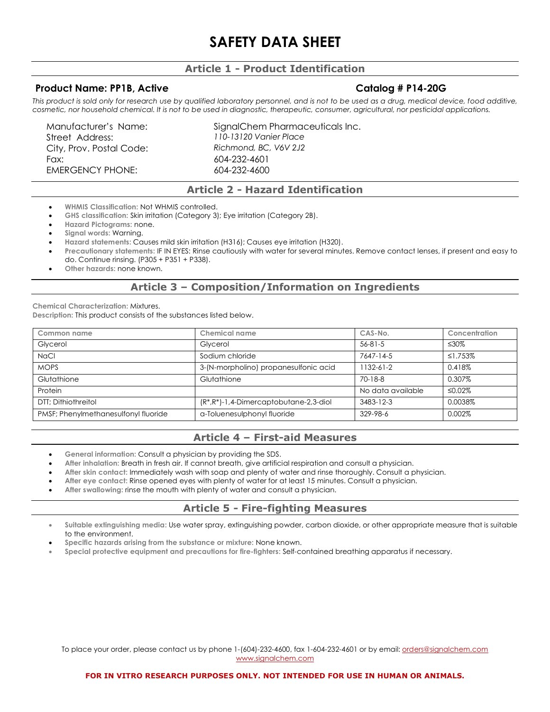# **SAFETY DATA SHEET**

# **Article 1 - Product Identification**

## **Product Name: PP1B, Active Catalog # P14-20G**

This product is sold only for research use by qualified laboratory personnel, and is not to be used as a drug, medical device, food additive, *cosmetic, nor household chemical. It is not to be used in diagnostic, therapeutic, consumer, agricultural, nor pesticidal applications.*

Street Address: *110-13120 Vanier Place* City, Prov. Postal Code: *Richmond, BC, V6V 2J2* Fax: 604-232-4601 EMERGENCY PHONE: 604-232-4600

Manufacturer's Name: SignalChem Pharmaceuticals Inc.

# **Article 2 - Hazard Identification**

- **WHMIS Classification:** Not WHMIS controlled.
- **GHS classification:** Skin irritation (Category 3); Eye irritation (Category 2B).
- **Hazard Pictograms:** none.
- **Signal words:** Warning.
- **Hazard statements:** Causes mild skin irritation (H316); Causes eye irritation (H320).
- **Precautionary statements:** IF IN EYES: Rinse cautiously with water for several minutes. Remove contact lenses, if present and easy to do. Continue rinsing. (P305 + P351 + P338).
- **Other hazards:** none known.

# **Article 3 – Composition/Information on Ingredients**

**Chemical Characterization:** Mixtures.

**Description:** This product consists of the substances listed below.

| Common name                          | Chemical name                               | CAS-No.           | Concentration |
|--------------------------------------|---------------------------------------------|-------------------|---------------|
| Glycerol                             | Glycerol                                    | $56 - 81 - 5$     | ≤30%          |
| <b>NaCl</b>                          | Sodium chloride                             | 7647-14-5         | ≤1.753%       |
| <b>MOPS</b>                          | 3-(N-morpholino) propanesulfonic acid       | $1132 - 61 - 2$   | 0.418%        |
| Glutathione                          | Glutathione                                 | $70 - 18 - 8$     | 0.307%        |
| Protein                              |                                             | No data available | ≤0.02%        |
| DTT: Dithiothreitol                  | $(R^*, R^*)$ -1,4-Dimercaptobutane-2,3-diol | 3483-12-3         | 0.0038%       |
| PMSF; Phenylmethanesulfonyl fluoride | a-Toluenesulphonyl fluoride                 | 329-98-6          | 0.002%        |

# **Article 4 – First-aid Measures**

- **General information:** Consult a physician by providing the SDS.
- **After inhalation:** Breath in fresh air. If cannot breath, give artificial respiration and consult a physician.
- **After skin contact:** Immediately wash with soap and plenty of water and rinse thoroughly. Consult a physician.
- **After eye contact:** Rinse opened eyes with plenty of water for at least 15 minutes. Consult a physician.
- **After swallowing:** rinse the mouth with plenty of water and consult a physician.

# **Article 5 - Fire-fighting Measures**

- **Suitable extinguishing media:** Use water spray, extinguishing powder, carbon dioxide, or other appropriate measure that is suitable to the environment.
- **Specific hazards arising from the substance or mixture:** None known.
- **Special protective equipment and precautions for fire-fighters:** Self-contained breathing apparatus if necessary.

To place your order, please contact us by phone 1-(604)-232-4600, fax 1-604-232-4601 or by email: orders@signalchem.com www.signalchem.com

#### **FOR IN VITRO RESEARCH PURPOSES ONLY. NOT INTENDED FOR USE IN HUMAN OR ANIMALS.**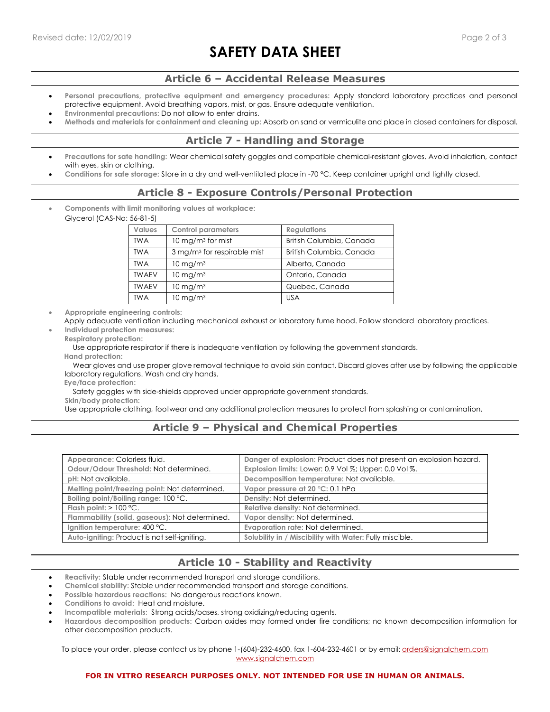# **SAFETY DATA SHEET**

## **Article 6 – Accidental Release Measures**

- **Personal precautions, protective equipment and emergency procedures:** Apply standard laboratory practices and personal protective equipment. Avoid breathing vapors, mist, or gas. Ensure adequate ventilation.
- **Environmental precautions:** Do not allow to enter drains.
- **Methods and materials for containment and cleaning up:** Absorb on sand or vermiculite and place in closed containers for disposal.

# **Article 7 - Handling and Storage**

- **Precautions for sate handling:** Wear chemical safety goggles and compatible chemical-resistant gloves. Avoid inhalation, contact with eyes, skin or clothing.
- **Conditions for safe storage:** Store in a dry and well-ventilated place in -70 °C. Keep container upright and tightly closed.

## **Article 8 - Exposure Controls/Personal Protection**

• **Components with limit monitoring values at workplace:**  Glycerol (CAS-No: 56-81-5)

| <b>Values</b> | <b>Control parameters</b>               | <b>Regulations</b>       |
|---------------|-----------------------------------------|--------------------------|
| <b>TWA</b>    | $10 \,\mathrm{mg/m}$ for mist           | British Columbia, Canada |
| <b>TWA</b>    | 3 mg/m <sup>3</sup> for respirable mist | British Columbia, Canada |
| <b>TWA</b>    | $10 \,\mathrm{mg/m^3}$                  | Alberta, Canada          |
| <b>TWAEV</b>  | $10 \text{ mg/m}^3$                     | Ontario, Canada          |
| <b>TWAEV</b>  | $10 \,\mathrm{mg/m^3}$                  | Quebec, Canada           |
| <b>TWA</b>    | $10 \text{ mg/m}^3$                     | <b>USA</b>               |

• **Appropriate engineering controls:**

Apply adequate ventilation including mechanical exhaust or laboratory fume hood. Follow standard laboratory practices.

• **Individual protection measures: Respiratory protection:**

Use appropriate respirator if there is inadequate ventilation by following the government standards.

**Hand protection:**

 Wear gloves and use proper glove removal technique to avoid skin contact. Discard gloves after use by following the applicable laboratory regulations. Wash and dry hands.

**Eye/face protection:**

Safety goggles with side-shields approved under appropriate government standards.

**Skin/body protection:**

Use appropriate clothing, footwear and any additional protection measures to protect from splashing or contamination.

# **Article 9 – Physical and Chemical Properties**

| Appearance: Colorless fluid.                   | Danger of explosion: Product does not present an explosion hazard. |
|------------------------------------------------|--------------------------------------------------------------------|
| Odour/Odour Threshold: Not determined.         | Explosion limits: Lower: 0.9 Vol %; Upper: 0.0 Vol %.              |
| pH: Not available.                             | Decomposition temperature: Not available.                          |
| Melting point/freezing point: Not determined.  | Vapor pressure at 20 °C: 0.1 hPa                                   |
| Boiling point/Boiling range: 100 °C.           | Density: Not determined.                                           |
| Flash point: $> 100$ °C.                       | Relative density: Not determined.                                  |
| Flammability (solid, gaseous): Not determined. | Vapor density: Not determined.                                     |
| Ignition temperature: 400 °C.                  | Evaporation rate: Not determined.                                  |
| Auto-igniting: Product is not self-igniting.   | Solubility in / Miscibility with Water: Fully miscible.            |

# **Article 10 - Stability and Reactivity**

- **Reactivity:** Stable under recommended transport and storage conditions.
- **Chemical stability:** Stable under recommended transport and storage conditions.
- **Possible hazardous reactions:** No dangerous reactions known.
- **Conditions to avoid:** Heat and moisture.
- **Incompatible materials:** Strong acids/bases, strong oxidizing/reducing agents.
- **Hazardous decomposition products:** Carbon oxides may formed under fire conditions; no known decomposition information for other decomposition products.

To place your order, please contact us by phone 1-(604)-232-4600, fax 1-604-232-4601 or by email: orders@signalchem.com www.signalchem.com

#### **FOR IN VITRO RESEARCH PURPOSES ONLY. NOT INTENDED FOR USE IN HUMAN OR ANIMALS.**